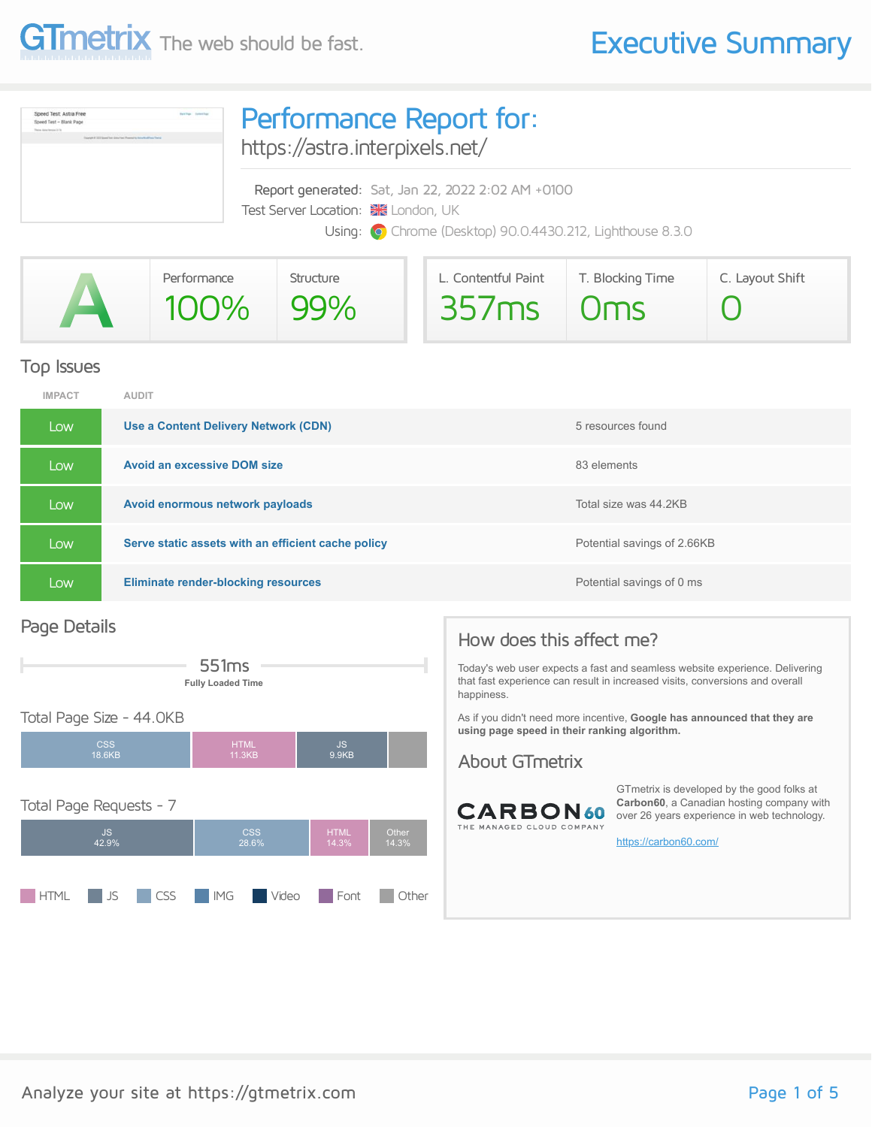



### Top Issues

| <b>IMPACT</b> | <b>AUDIT</b>                                       |                             |
|---------------|----------------------------------------------------|-----------------------------|
| Low           | Use a Content Delivery Network (CDN)               | 5 resources found           |
| Low           | <b>Avoid an excessive DOM size</b>                 | 83 elements                 |
| Low,          | Avoid enormous network payloads                    | Total size was 44.2KB       |
| Low,          | Serve static assets with an efficient cache policy | Potential savings of 2.66KB |
| Low           | <b>Eliminate render-blocking resources</b>         | Potential savings of 0 ms   |

### Page Details



**HTML** JS CSS **IMG** Video **Font Other** 



that fast experience can result in increased visits, conversions and overall

As if you didn't need more incentive, **Google has announced that they are using page speed in their ranking algorithm.**

### About GTmetrix



GTmetrix is developed by the good folks at **Carbon60**, a Canadian hosting company with over 26 years experience in web technology.

<https://carbon60.com/>

How does this affect me? happiness.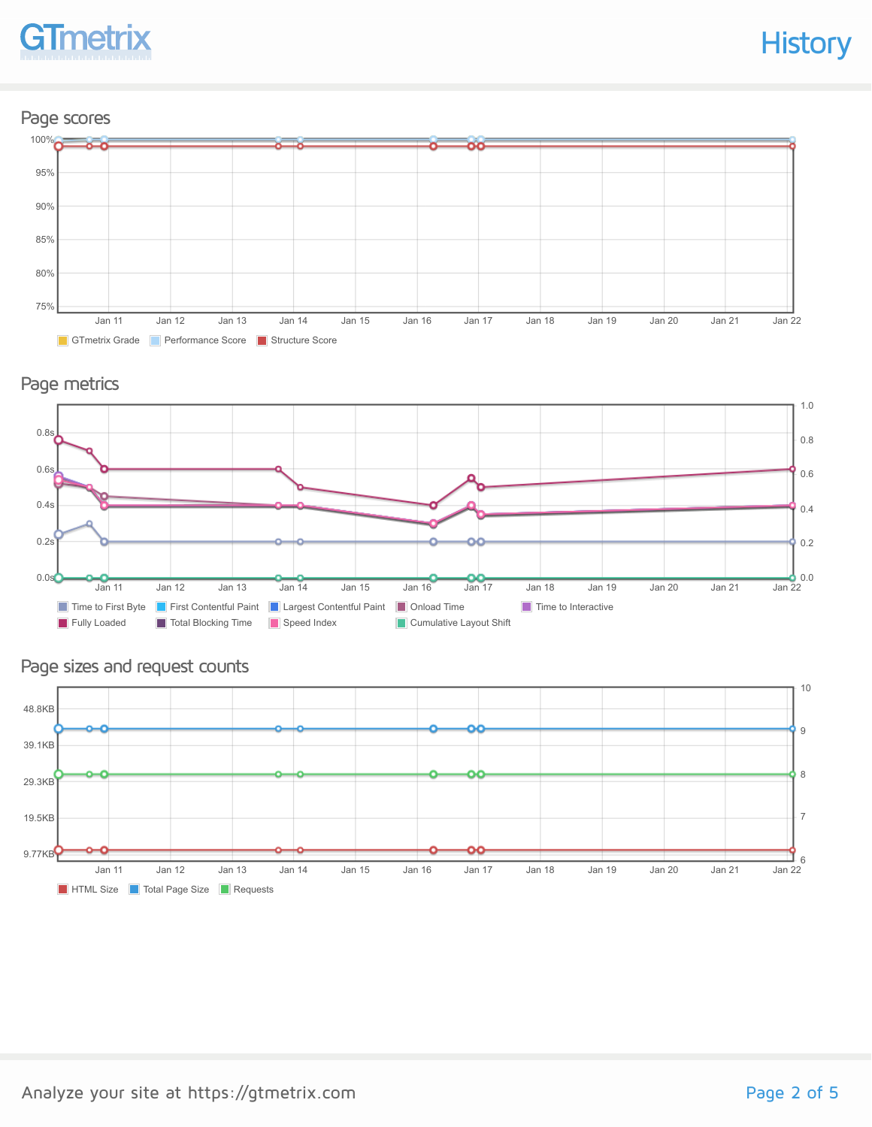

### Page scores



### Page metrics



### Page sizes and request counts

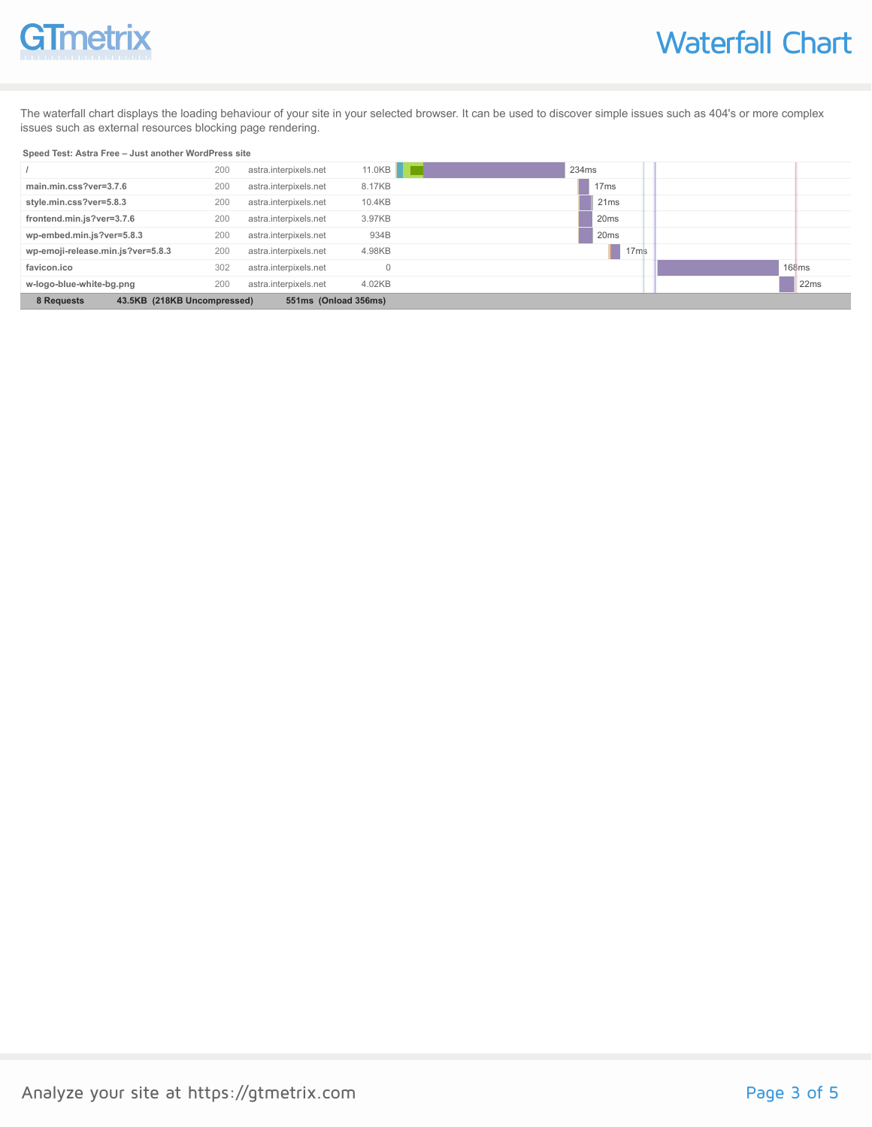# GTmetrix

The waterfall chart displays the loading behaviour of your site in your selected browser. It can be used to discover simple issues such as 404's or more complex issues such as external resources blocking page rendering.

#### **Speed Test: Astra Free – Just another WordPress site**

|                                                                   | 200 | astra.interpixels.net | 11.0KB | 234ms            |       |
|-------------------------------------------------------------------|-----|-----------------------|--------|------------------|-------|
| main.min.css?ver=3.7.6                                            | 200 | astra.interpixels.net | 8.17KB | 17 <sub>ms</sub> |       |
| style.min.css?ver=5.8.3                                           | 200 | astra.interpixels.net | 10.4KB | 21ms             |       |
| frontend.min.js?ver=3.7.6                                         | 200 | astra.interpixels.net | 3.97KB | 20 <sub>ms</sub> |       |
| wp-embed.min.js?ver=5.8.3                                         | 200 | astra.interpixels.net | 934B   | 20 <sub>ms</sub> |       |
| wp-emoji-release.min.js?ver=5.8.3                                 | 200 | astra.interpixels.net | 4.98KB | 17ms             |       |
| favicon.ico                                                       | 302 | astra.interpixels.net |        |                  | 168ms |
| w-logo-blue-white-bg.png                                          | 200 | astra.interpixels.net | 4.02KB |                  | 22ms  |
| 43.5KB (218KB Uncompressed)<br>8 Requests<br>551ms (Onload 356ms) |     |                       |        |                  |       |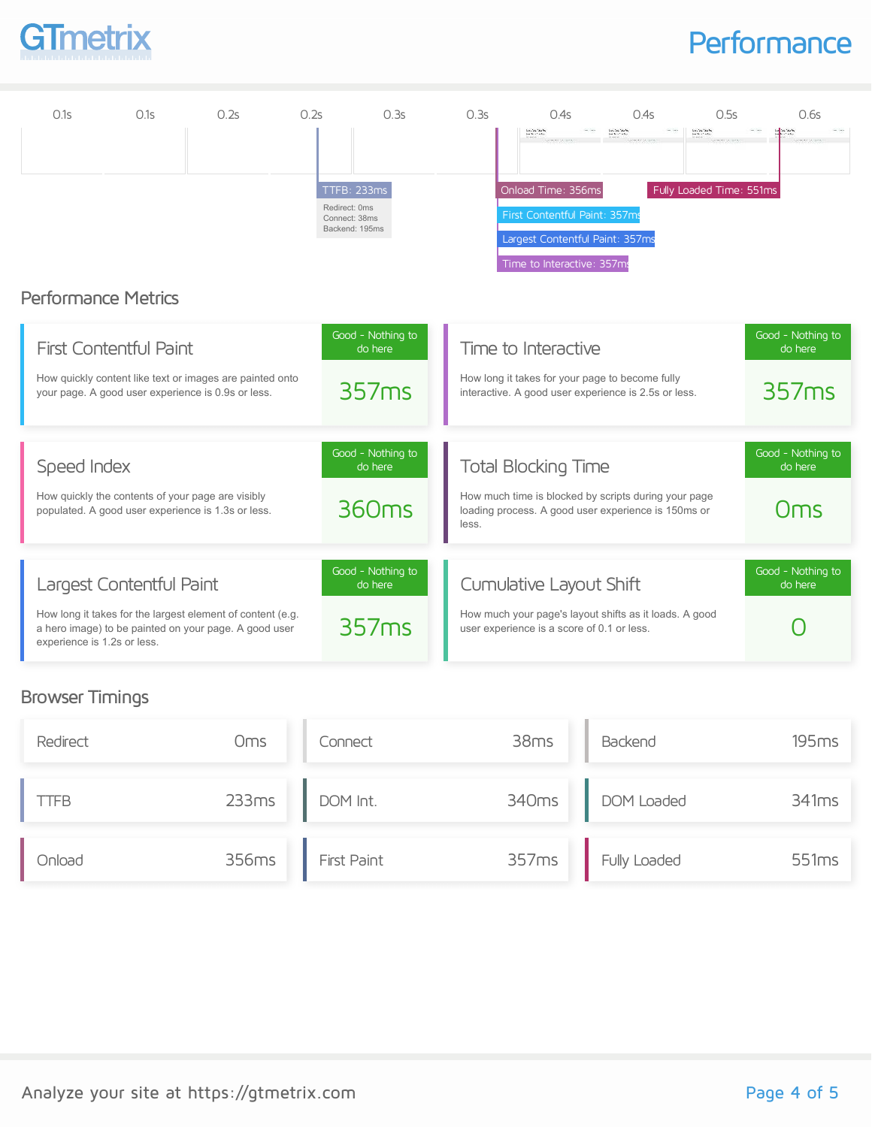

### **Performance**

| 0.1s                        | 0.1s                                                                                                                                            | 0.2s | 0.2s | 0.3s                                                            | 0.3s  | 0.4s                                                                                                                                       | 0.4s                                                                                                        | 0.5s                                                               | 0.6s                                  |
|-----------------------------|-------------------------------------------------------------------------------------------------------------------------------------------------|------|------|-----------------------------------------------------------------|-------|--------------------------------------------------------------------------------------------------------------------------------------------|-------------------------------------------------------------------------------------------------------------|--------------------------------------------------------------------|---------------------------------------|
| <b>Performance Metrics</b>  |                                                                                                                                                 |      |      | TTFB: 233ms<br>Redirect: 0ms<br>Connect: 38ms<br>Backend: 195ms |       | Long Text Take Net<br>Onload Time: 356ms<br>First Contentful Paint: 357ms<br>Largest Contentful Paint: 357ms<br>Time to Interactive: 357ms | London State<br>Service Control                                                                             | Local de Casalho<br>Service de Casalho<br>Fully Loaded Time: 551ms |                                       |
|                             | <b>First Contentful Paint</b><br>How quickly content like text or images are painted onto<br>your page. A good user experience is 0.9s or less. |      |      | Good - Nothing to<br>do here<br>357ms                           |       | Time to Interactive                                                                                                                        | How long it takes for your page to become fully<br>interactive. A good user experience is 2.5s or less.     |                                                                    | Good - Nothing to<br>do here<br>357ms |
| Speed Index                 | How quickly the contents of your page are visibly<br>populated. A good user experience is 1.3s or less.                                         |      |      | Good - Nothing to<br>do here<br>360 <sub>ms</sub>               |       | <b>Total Blocking Time</b>                                                                                                                 | How much time is blocked by scripts during your page<br>loading process. A good user experience is 150ms or |                                                                    | Good - Nothing to<br>do here<br>Oms   |
| experience is 1.2s or less. | Largest Contentful Paint<br>How long it takes for the largest element of content (e.g.<br>a hero image) to be painted on your page. A good user |      |      | Good - Nothing to<br>do here<br>357ms                           | less. | Cumulative Layout Shift<br>user experience is a score of 0.1 or less.                                                                      | How much your page's layout shifts as it loads. A good                                                      |                                                                    | Good - Nothing to<br>do here          |

### Browser Timings

| Redirect | Oms   | Connect     | 38ms  | Backend      | 195ms |
|----------|-------|-------------|-------|--------------|-------|
| TFB      | 233ms | DOM Int.    | 340ms | DOM Loaded   | 341ms |
| Onload   | 356ms | First Paint | 357ms | Fully Loaded | 551ms |